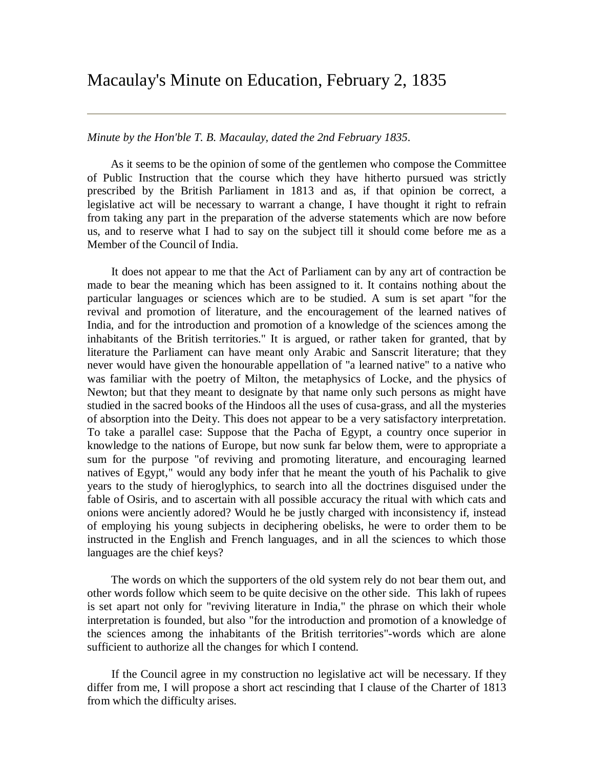## Macaulay's Minute on Education, February 2, 1835

## *Minute by the Hon'ble T. B. Macaulay, dated the 2nd February 1835*.

 As it seems to be the opinion of some of the gentlemen who compose the Committee of Public Instruction that the course which they have hitherto pursued was strictly prescribed by the British Parliament in 1813 and as, if that opinion be correct, a legislative act will be necessary to warrant a change, I have thought it right to refrain from taking any part in the preparation of the adverse statements which are now before us, and to reserve what I had to say on the subject till it should come before me as a Member of the Council of India.

 It does not appear to me that the Act of Parliament can by any art of contraction be made to bear the meaning which has been assigned to it. It contains nothing about the particular languages or sciences which are to be studied. A sum is set apart "for the revival and promotion of literature, and the encouragement of the learned natives of India, and for the introduction and promotion of a knowledge of the sciences among the inhabitants of the British territories." It is argued, or rather taken for granted, that by literature the Parliament can have meant only Arabic and Sanscrit literature; that they never would have given the honourable appellation of "a learned native" to a native who was familiar with the poetry of Milton, the metaphysics of Locke, and the physics of Newton; but that they meant to designate by that name only such persons as might have studied in the sacred books of the Hindoos all the uses of cusa-grass, and all the mysteries of absorption into the Deity. This does not appear to be a very satisfactory interpretation. To take a parallel case: Suppose that the Pacha of Egypt, a country once superior in knowledge to the nations of Europe, but now sunk far below them, were to appropriate a sum for the purpose "of reviving and promoting literature, and encouraging learned natives of Egypt," would any body infer that he meant the youth of his Pachalik to give years to the study of hieroglyphics, to search into all the doctrines disguised under the fable of Osiris, and to ascertain with all possible accuracy the ritual with which cats and onions were anciently adored? Would he be justly charged with inconsistency if, instead of employing his young subjects in deciphering obelisks, he were to order them to be instructed in the English and French languages, and in all the sciences to which those languages are the chief keys?

 The words on which the supporters of the old system rely do not bear them out, and other words follow which seem to be quite decisive on the other side. This lakh of rupees is set apart not only for "reviving literature in India," the phrase on which their whole interpretation is founded, but also "for the introduction and promotion of a knowledge of the sciences among the inhabitants of the British territories"-words which are alone sufficient to authorize all the changes for which I contend.

 If the Council agree in my construction no legislative act will be necessary. If they differ from me, I will propose a short act rescinding that I clause of the Charter of 1813 from which the difficulty arises.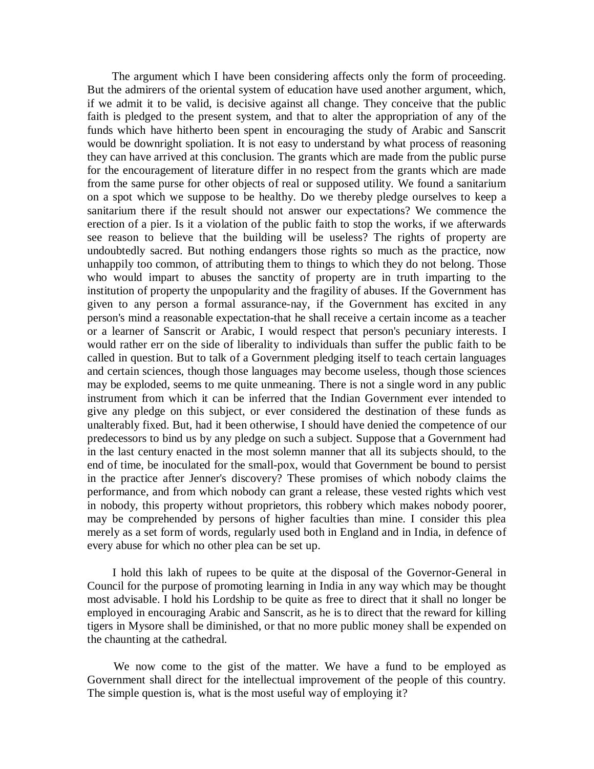The argument which I have been considering affects only the form of proceeding. But the admirers of the oriental system of education have used another argument, which, if we admit it to be valid, is decisive against all change. They conceive that the public faith is pledged to the present system, and that to alter the appropriation of any of the funds which have hitherto been spent in encouraging the study of Arabic and Sanscrit would be downright spoliation. It is not easy to understand by what process of reasoning they can have arrived at this conclusion. The grants which are made from the public purse for the encouragement of literature differ in no respect from the grants which are made from the same purse for other objects of real or supposed utility. We found a sanitarium on a spot which we suppose to be healthy. Do we thereby pledge ourselves to keep a sanitarium there if the result should not answer our expectations? We commence the erection of a pier. Is it a violation of the public faith to stop the works, if we afterwards see reason to believe that the building will be useless? The rights of property are undoubtedly sacred. But nothing endangers those rights so much as the practice, now unhappily too common, of attributing them to things to which they do not belong. Those who would impart to abuses the sanctity of property are in truth imparting to the institution of property the unpopularity and the fragility of abuses. If the Government has given to any person a formal assurance-nay, if the Government has excited in any person's mind a reasonable expectation-that he shall receive a certain income as a teacher or a learner of Sanscrit or Arabic, I would respect that person's pecuniary interests. I would rather err on the side of liberality to individuals than suffer the public faith to be called in question. But to talk of a Government pledging itself to teach certain languages and certain sciences, though those languages may become useless, though those sciences may be exploded, seems to me quite unmeaning. There is not a single word in any public instrument from which it can be inferred that the Indian Government ever intended to give any pledge on this subject, or ever considered the destination of these funds as unalterably fixed. But, had it been otherwise, I should have denied the competence of our predecessors to bind us by any pledge on such a subject. Suppose that a Government had in the last century enacted in the most solemn manner that all its subjects should, to the end of time, be inoculated for the small-pox, would that Government be bound to persist in the practice after Jenner's discovery? These promises of which nobody claims the performance, and from which nobody can grant a release, these vested rights which vest in nobody, this property without proprietors, this robbery which makes nobody poorer, may be comprehended by persons of higher faculties than mine. I consider this plea merely as a set form of words, regularly used both in England and in India, in defence of every abuse for which no other plea can be set up.

 I hold this lakh of rupees to be quite at the disposal of the Governor-General in Council for the purpose of promoting learning in India in any way which may be thought most advisable. I hold his Lordship to be quite as free to direct that it shall no longer be employed in encouraging Arabic and Sanscrit, as he is to direct that the reward for killing tigers in Mysore shall be diminished, or that no more public money shall be expended on the chaunting at the cathedral.

 We now come to the gist of the matter. We have a fund to be employed as Government shall direct for the intellectual improvement of the people of this country. The simple question is, what is the most useful way of employing it?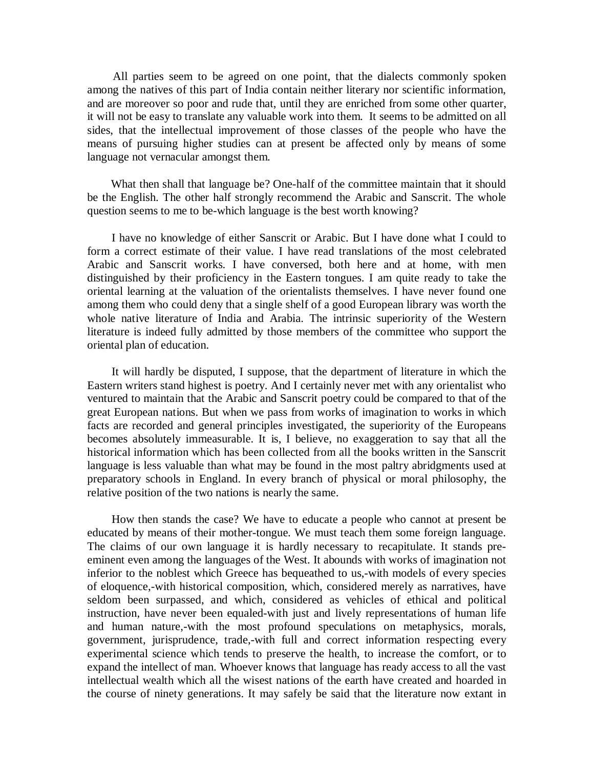All parties seem to be agreed on one point, that the dialects commonly spoken among the natives of this part of India contain neither literary nor scientific information, and are moreover so poor and rude that, until they are enriched from some other quarter, it will not be easy to translate any valuable work into them. It seems to be admitted on all sides, that the intellectual improvement of those classes of the people who have the means of pursuing higher studies can at present be affected only by means of some language not vernacular amongst them.

 What then shall that language be? One-half of the committee maintain that it should be the English. The other half strongly recommend the Arabic and Sanscrit. The whole question seems to me to be-which language is the best worth knowing?

 I have no knowledge of either Sanscrit or Arabic. But I have done what I could to form a correct estimate of their value. I have read translations of the most celebrated Arabic and Sanscrit works. I have conversed, both here and at home, with men distinguished by their proficiency in the Eastern tongues. I am quite ready to take the oriental learning at the valuation of the orientalists themselves. I have never found one among them who could deny that a single shelf of a good European library was worth the whole native literature of India and Arabia. The intrinsic superiority of the Western literature is indeed fully admitted by those members of the committee who support the oriental plan of education.

 It will hardly be disputed, I suppose, that the department of literature in which the Eastern writers stand highest is poetry. And I certainly never met with any orientalist who ventured to maintain that the Arabic and Sanscrit poetry could be compared to that of the great European nations. But when we pass from works of imagination to works in which facts are recorded and general principles investigated, the superiority of the Europeans becomes absolutely immeasurable. It is, I believe, no exaggeration to say that all the historical information which has been collected from all the books written in the Sanscrit language is less valuable than what may be found in the most paltry abridgments used at preparatory schools in England. In every branch of physical or moral philosophy, the relative position of the two nations is nearly the same.

 How then stands the case? We have to educate a people who cannot at present be educated by means of their mother-tongue. We must teach them some foreign language. The claims of our own language it is hardly necessary to recapitulate. It stands preeminent even among the languages of the West. It abounds with works of imagination not inferior to the noblest which Greece has bequeathed to us,-with models of every species of eloquence,-with historical composition, which, considered merely as narratives, have seldom been surpassed, and which, considered as vehicles of ethical and political instruction, have never been equaled-with just and lively representations of human life and human nature,-with the most profound speculations on metaphysics, morals, government, jurisprudence, trade,-with full and correct information respecting every experimental science which tends to preserve the health, to increase the comfort, or to expand the intellect of man. Whoever knows that language has ready access to all the vast intellectual wealth which all the wisest nations of the earth have created and hoarded in the course of ninety generations. It may safely be said that the literature now extant in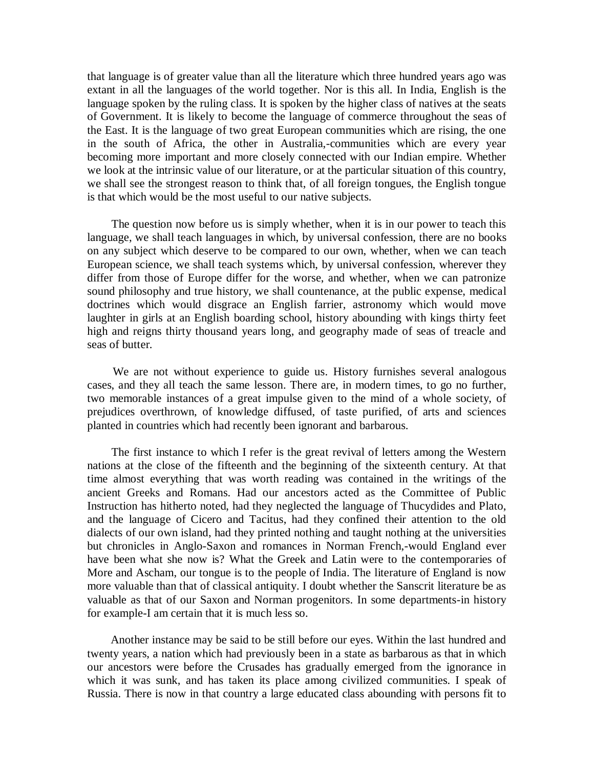that language is of greater value than all the literature which three hundred years ago was extant in all the languages of the world together. Nor is this all. In India, English is the language spoken by the ruling class. It is spoken by the higher class of natives at the seats of Government. It is likely to become the language of commerce throughout the seas of the East. It is the language of two great European communities which are rising, the one in the south of Africa, the other in Australia,-communities which are every year becoming more important and more closely connected with our Indian empire. Whether we look at the intrinsic value of our literature, or at the particular situation of this country, we shall see the strongest reason to think that, of all foreign tongues, the English tongue is that which would be the most useful to our native subjects.

 The question now before us is simply whether, when it is in our power to teach this language, we shall teach languages in which, by universal confession, there are no books on any subject which deserve to be compared to our own, whether, when we can teach European science, we shall teach systems which, by universal confession, wherever they differ from those of Europe differ for the worse, and whether, when we can patronize sound philosophy and true history, we shall countenance, at the public expense, medical doctrines which would disgrace an English farrier, astronomy which would move laughter in girls at an English boarding school, history abounding with kings thirty feet high and reigns thirty thousand years long, and geography made of seas of treacle and seas of butter.

 We are not without experience to guide us. History furnishes several analogous cases, and they all teach the same lesson. There are, in modern times, to go no further, two memorable instances of a great impulse given to the mind of a whole society, of prejudices overthrown, of knowledge diffused, of taste purified, of arts and sciences planted in countries which had recently been ignorant and barbarous.

 The first instance to which I refer is the great revival of letters among the Western nations at the close of the fifteenth and the beginning of the sixteenth century. At that time almost everything that was worth reading was contained in the writings of the ancient Greeks and Romans. Had our ancestors acted as the Committee of Public Instruction has hitherto noted, had they neglected the language of Thucydides and Plato, and the language of Cicero and Tacitus, had they confined their attention to the old dialects of our own island, had they printed nothing and taught nothing at the universities but chronicles in Anglo-Saxon and romances in Norman French,-would England ever have been what she now is? What the Greek and Latin were to the contemporaries of More and Ascham, our tongue is to the people of India. The literature of England is now more valuable than that of classical antiquity. I doubt whether the Sanscrit literature be as valuable as that of our Saxon and Norman progenitors. In some departments-in history for example-I am certain that it is much less so.

 Another instance may be said to be still before our eyes. Within the last hundred and twenty years, a nation which had previously been in a state as barbarous as that in which our ancestors were before the Crusades has gradually emerged from the ignorance in which it was sunk, and has taken its place among civilized communities. I speak of Russia. There is now in that country a large educated class abounding with persons fit to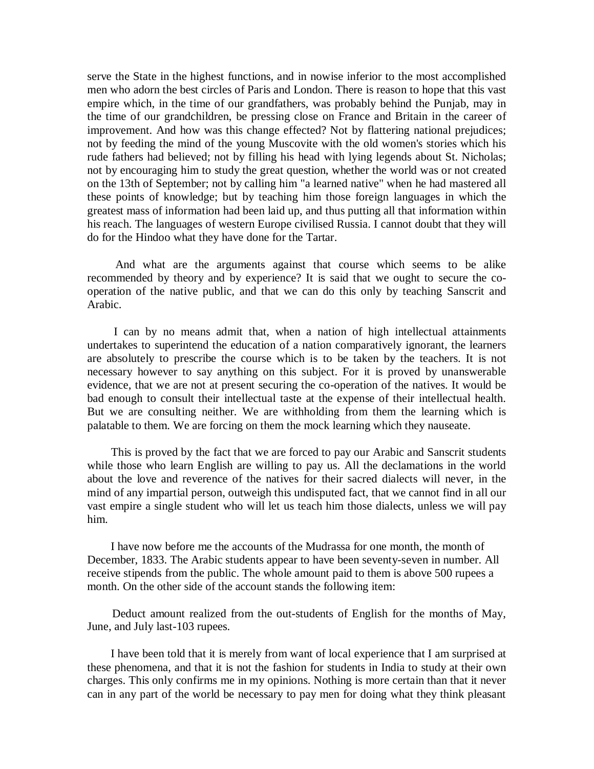serve the State in the highest functions, and in nowise inferior to the most accomplished men who adorn the best circles of Paris and London. There is reason to hope that this vast empire which, in the time of our grandfathers, was probably behind the Punjab, may in the time of our grandchildren, be pressing close on France and Britain in the career of improvement. And how was this change effected? Not by flattering national prejudices; not by feeding the mind of the young Muscovite with the old women's stories which his rude fathers had believed; not by filling his head with lying legends about St. Nicholas; not by encouraging him to study the great question, whether the world was or not created on the 13th of September; not by calling him "a learned native" when he had mastered all these points of knowledge; but by teaching him those foreign languages in which the greatest mass of information had been laid up, and thus putting all that information within his reach. The languages of western Europe civilised Russia. I cannot doubt that they will do for the Hindoo what they have done for the Tartar.

 And what are the arguments against that course which seems to be alike recommended by theory and by experience? It is said that we ought to secure the cooperation of the native public, and that we can do this only by teaching Sanscrit and Arabic.

 Ican by no means admit that, when a nation of high intellectual attainments undertakes to superintend the education of a nation comparatively ignorant, the learners are absolutely to prescribe the course which is to be taken by the teachers. It is not necessary however to say anything on this subject. For it is proved by unanswerable evidence, that we are not at present securing the co-operation of the natives. It would be bad enough to consult their intellectual taste at the expense of their intellectual health. But we are consulting neither. We are withholding from them the learning which is palatable to them. We are forcing on them the mock learning which they nauseate.

 This is proved by the fact that we are forced to pay our Arabic and Sanscrit students while those who learn English are willing to pay us. All the declamations in the world about the love and reverence of the natives for their sacred dialects will never, in the mind of any impartial person, outweigh this undisputed fact, that we cannot find in all our vast empire a single student who will let us teach him those dialects, unless we will pay him.

 I have now before me the accounts of the Mudrassa for one month, the month of December, 1833. The Arabic students appear to have been seventy-seven in number. All receive stipends from the public. The whole amount paid to them is above 500 rupees a month. On the other side of the account stands the following item:

 Deduct amount realized from the out-students of English for the months of May, June, and July last-103 rupees.

 I have been told that it is merely from want of local experience that I am surprised at these phenomena, and that it is not the fashion for students in India to study at their own charges. This only confirms me in my opinions. Nothing is more certain than that it never can in any part of the world be necessary to pay men for doing what they think pleasant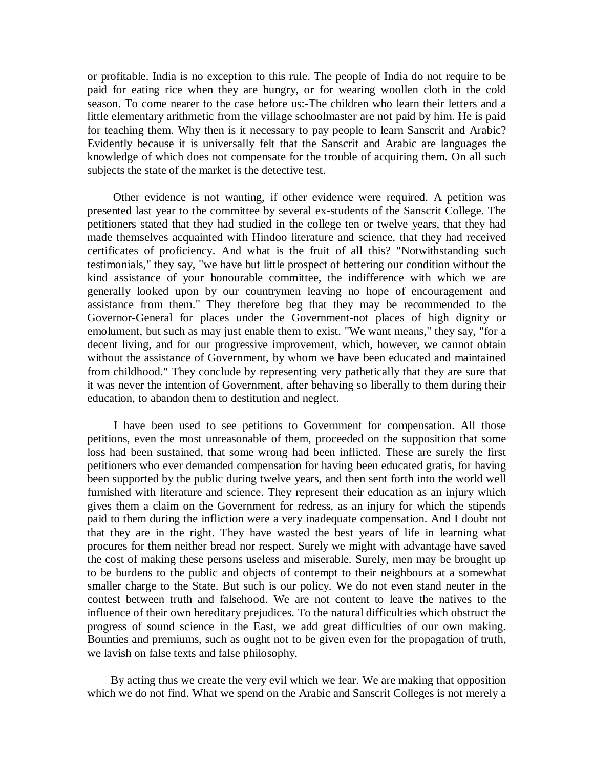or profitable. India is no exception to this rule. The people of India do not require to be paid for eating rice when they are hungry, or for wearing woollen cloth in the cold season. To come nearer to the case before us:-The children who learn their letters and a little elementary arithmetic from the village schoolmaster are not paid by him. He is paid for teaching them. Why then is it necessary to pay people to learn Sanscrit and Arabic? Evidently because it is universally felt that the Sanscrit and Arabic are languages the knowledge of which does not compensate for the trouble of acquiring them. On all such subjects the state of the market is the detective test.

 Other evidence is not wanting, if other evidence were required. A petition was presented last year to the committee by several ex-students of the Sanscrit College. The petitioners stated that they had studied in the college ten or twelve years, that they had made themselves acquainted with Hindoo literature and science, that they had received certificates of proficiency. And what is the fruit of all this? "Notwithstanding such testimonials," they say, "we have but little prospect of bettering our condition without the kind assistance of your honourable committee, the indifference with which we are generally looked upon by our countrymen leaving no hope of encouragement and assistance from them." They therefore beg that they may be recommended to the Governor-General for places under the Government-not places of high dignity or emolument, but such as may just enable them to exist. "We want means," they say, "for a decent living, and for our progressive improvement, which, however, we cannot obtain without the assistance of Government, by whom we have been educated and maintained from childhood." They conclude by representing very pathetically that they are sure that it was never the intention of Government, after behaving so liberally to them during their education, to abandon them to destitution and neglect.

 Ihave been used to see petitions to Government for compensation. All those petitions, even the most unreasonable of them, proceeded on the supposition that some loss had been sustained, that some wrong had been inflicted. These are surely the first petitioners who ever demanded compensation for having been educated gratis, for having been supported by the public during twelve years, and then sent forth into the world well furnished with literature and science. They represent their education as an injury which gives them a claim on the Government for redress, as an injury for which the stipends paid to them during the infliction were a very inadequate compensation. And I doubt not that they are in the right. They have wasted the best years of life in learning what procures for them neither bread nor respect. Surely we might with advantage have saved the cost of making these persons useless and miserable. Surely, men may be brought up to be burdens to the public and objects of contempt to their neighbours at a somewhat smaller charge to the State. But such is our policy. We do not even stand neuter in the contest between truth and falsehood. We are not content to leave the natives to the influence of their own hereditary prejudices. To the natural difficulties which obstruct the progress of sound science in the East, we add great difficulties of our own making. Bounties and premiums, such as ought not to be given even for the propagation of truth, we lavish on false texts and false philosophy.

 By acting thus we create the very evil which we fear. We are making that opposition which we do not find. What we spend on the Arabic and Sanscrit Colleges is not merely a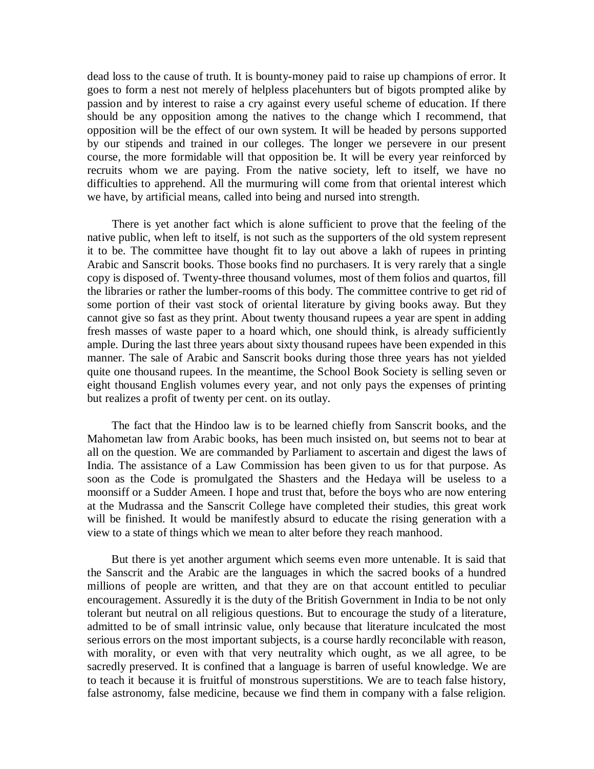dead loss to the cause of truth. It is bounty-money paid to raise up champions of error. It goes to form a nest not merely of helpless placehunters but of bigots prompted alike by passion and by interest to raise a cry against every useful scheme of education. If there should be any opposition among the natives to the change which I recommend, that opposition will be the effect of our own system. It will be headed by persons supported by our stipends and trained in our colleges. The longer we persevere in our present course, the more formidable will that opposition be. It will be every year reinforced by recruits whom we are paying. From the native society, left to itself, we have no difficulties to apprehend. All the murmuring will come from that oriental interest which we have, by artificial means, called into being and nursed into strength.

 There is yet another fact which is alone sufficient to prove that the feeling of the native public, when left to itself, is not such as the supporters of the old system represent it to be. The committee have thought fit to lay out above a lakh of rupees in printing Arabic and Sanscrit books. Those books find no purchasers. It is very rarely that a single copy is disposed of. Twenty-three thousand volumes, most of them folios and quartos, fill the libraries or rather the lumber-rooms of this body. The committee contrive to get rid of some portion of their vast stock of oriental literature by giving books away. But they cannot give so fast as they print. About twenty thousand rupees a year are spent in adding fresh masses of waste paper to a hoard which, one should think, is already sufficiently ample. During the last three years about sixty thousand rupees have been expended in this manner. The sale of Arabic and Sanscrit books during those three years has not yielded quite one thousand rupees. In the meantime, the School Book Society is selling seven or eight thousand English volumes every year, and not only pays the expenses of printing but realizes a profit of twenty per cent. on its outlay.

 The fact that the Hindoo law is to be learned chiefly from Sanscrit books, and the Mahometan law from Arabic books, has been much insisted on, but seems not to bear at all on the question. We are commanded by Parliament to ascertain and digest the laws of India. The assistance of a Law Commission has been given to us for that purpose. As soon as the Code is promulgated the Shasters and the Hedaya will be useless to a moonsiff or a Sudder Ameen. I hope and trust that, before the boys who are now entering at the Mudrassa and the Sanscrit College have completed their studies, this great work will be finished. It would be manifestly absurd to educate the rising generation with a view to a state of things which we mean to alter before they reach manhood.

 But there is yet another argument which seems even more untenable. It is said that the Sanscrit and the Arabic are the languages in which the sacred books of a hundred millions of people are written, and that they are on that account entitled to peculiar encouragement. Assuredly it is the duty of the British Government in India to be not only tolerant but neutral on all religious questions. But to encourage the study of a literature, admitted to be of small intrinsic value, only because that literature inculcated the most serious errors on the most important subjects, is a course hardly reconcilable with reason, with morality, or even with that very neutrality which ought, as we all agree, to be sacredly preserved. It is confined that a language is barren of useful knowledge. We are to teach it because it is fruitful of monstrous superstitions. We are to teach false history, false astronomy, false medicine, because we find them in company with a false religion.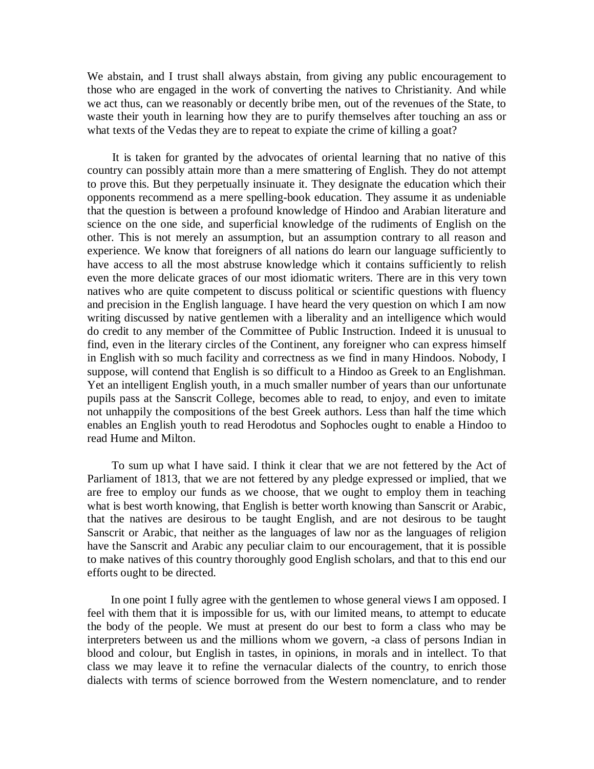We abstain, and I trust shall always abstain, from giving any public encouragement to those who are engaged in the work of converting the natives to Christianity. And while we act thus, can we reasonably or decently bribe men, out of the revenues of the State, to waste their youth in learning how they are to purify themselves after touching an ass or what texts of the Vedas they are to repeat to expiate the crime of killing a goat?

 It is taken for granted by the advocates of oriental learning that no native of this country can possibly attain more than a mere smattering of English. They do not attempt to prove this. But they perpetually insinuate it. They designate the education which their opponents recommend as a mere spelling-book education. They assume it as undeniable that the question is between a profound knowledge of Hindoo and Arabian literature and science on the one side, and superficial knowledge of the rudiments of English on the other. This is not merely an assumption, but an assumption contrary to all reason and experience. We know that foreigners of all nations do learn our language sufficiently to have access to all the most abstruse knowledge which it contains sufficiently to relish even the more delicate graces of our most idiomatic writers. There are in this very town natives who are quite competent to discuss political or scientific questions with fluency and precision in the English language. I have heard the very question on which I am now writing discussed by native gentlemen with a liberality and an intelligence which would do credit to any member of the Committee of Public Instruction. Indeed it is unusual to find, even in the literary circles of the Continent, any foreigner who can express himself in English with so much facility and correctness as we find in many Hindoos. Nobody, I suppose, will contend that English is so difficult to a Hindoo as Greek to an Englishman. Yet an intelligent English youth, in a much smaller number of years than our unfortunate pupils pass at the Sanscrit College, becomes able to read, to enjoy, and even to imitate not unhappily the compositions of the best Greek authors. Less than half the time which enables an English youth to read Herodotus and Sophocles ought to enable a Hindoo to read Hume and Milton.

 To sum up what I have said. I think it clear that we are not fettered by the Act of Parliament of 1813, that we are not fettered by any pledge expressed or implied, that we are free to employ our funds as we choose, that we ought to employ them in teaching what is best worth knowing, that English is better worth knowing than Sanscrit or Arabic, that the natives are desirous to be taught English, and are not desirous to be taught Sanscrit or Arabic, that neither as the languages of law nor as the languages of religion have the Sanscrit and Arabic any peculiar claim to our encouragement, that it is possible to make natives of this country thoroughly good English scholars, and that to this end our efforts ought to be directed.

In one point I fully agree with the gentlemen to whose general views I am opposed. I feel with them that it is impossible for us, with our limited means, to attempt to educate the body of the people. We must at present do our best to form a class who may be interpreters between us and the millions whom we govern, -a class of persons Indian in blood and colour, but English in tastes, in opinions, in morals and in intellect. To that class we may leave it to refine the vernacular dialects of the country, to enrich those dialects with terms of science borrowed from the Western nomenclature, and to render